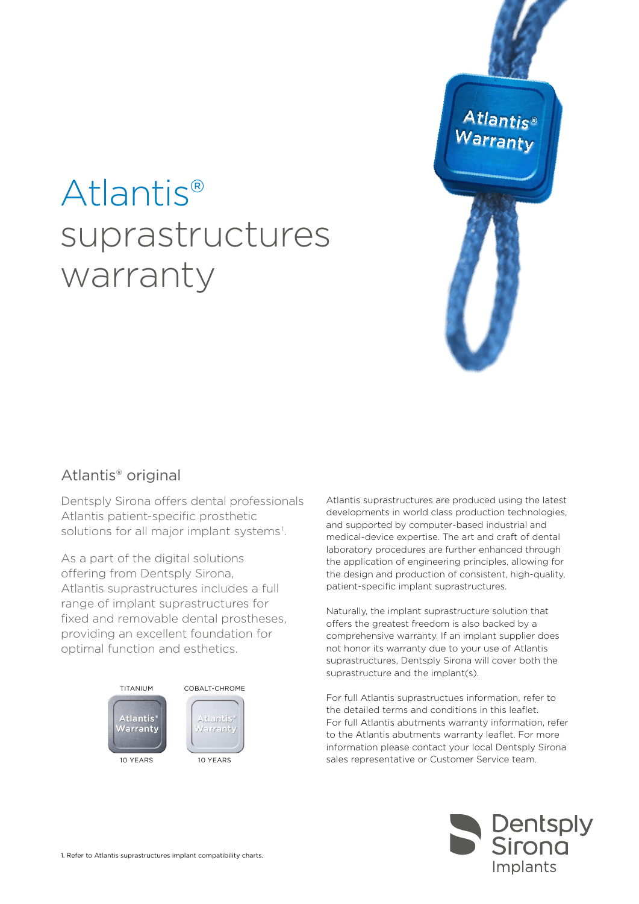



# Atlantis® original

Dentsply Sirona offers dental professionals Atlantis patient-specific prosthetic solutions for all major implant systems<sup>1</sup>.

As a part of the digital solutions offering from Dentsply Sirona, Atlantis suprastructures includes a full range of implant suprastructures for fixed and removable dental prostheses, providing an excellent foundation for optimal function and esthetics.



Atlantis suprastructures are produced using the latest developments in world class production technologies, and supported by computer-based industrial and medical-device expertise. The art and craft of dental laboratory procedures are further enhanced through the application of engineering principles, allowing for the design and production of consistent, high-quality, patient-specific implant suprastructures.

Naturally, the implant suprastructure solution that offers the greatest freedom is also backed by a comprehensive warranty. If an implant supplier does not honor its warranty due to your use of Atlantis suprastructures, Dentsply Sirona will cover both the suprastructure and the implant(s).

For full Atlantis suprastructues information, refer to the detailed terms and conditions in this leaflet. For full Atlantis abutments warranty information, refer to the Atlantis abutments warranty leaflet. For more information please contact your local Dentsply Sirona 10 YEARS sales representative or Customer Service team.